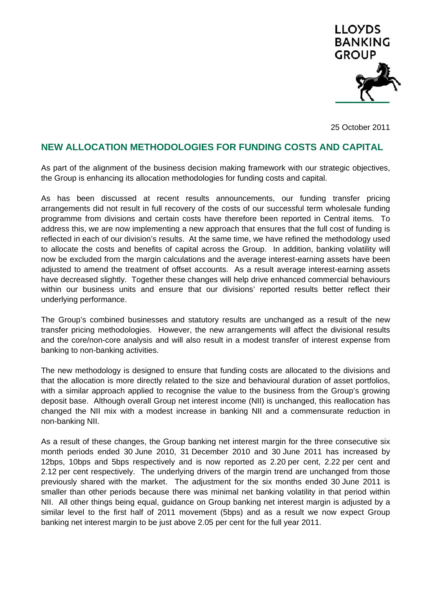

25 October 2011

# **NEW ALLOCATION METHODOLOGIES FOR FUNDING COSTS AND CAPITAL**

As part of the alignment of the business decision making framework with our strategic objectives, the Group is enhancing its allocation methodologies for funding costs and capital.

As has been discussed at recent results announcements, our funding transfer pricing arrangements did not result in full recovery of the costs of our successful term wholesale funding programme from divisions and certain costs have therefore been reported in Central items. To address this, we are now implementing a new approach that ensures that the full cost of funding is reflected in each of our division's results. At the same time, we have refined the methodology used to allocate the costs and benefits of capital across the Group. In addition, banking volatility will now be excluded from the margin calculations and the average interest-earning assets have been adjusted to amend the treatment of offset accounts. As a result average interest-earning assets have decreased slightly. Together these changes will help drive enhanced commercial behaviours within our business units and ensure that our divisions' reported results better reflect their underlying performance.

The Group's combined businesses and statutory results are unchanged as a result of the new transfer pricing methodologies. However, the new arrangements will affect the divisional results and the core/non-core analysis and will also result in a modest transfer of interest expense from banking to non-banking activities.

The new methodology is designed to ensure that funding costs are allocated to the divisions and that the allocation is more directly related to the size and behavioural duration of asset portfolios, with a similar approach applied to recognise the value to the business from the Group's growing deposit base. Although overall Group net interest income (NII) is unchanged, this reallocation has changed the NII mix with a modest increase in banking NII and a commensurate reduction in non-banking NII.

As a result of these changes, the Group banking net interest margin for the three consecutive six month periods ended 30 June 2010, 31 December 2010 and 30 June 2011 has increased by 12bps, 10bps and 5bps respectively and is now reported as 2.20 per cent, 2.22 per cent and 2.12 per cent respectively. The underlying drivers of the margin trend are unchanged from those previously shared with the market. The adjustment for the six months ended 30 June 2011 is smaller than other periods because there was minimal net banking volatility in that period within NII. All other things being equal, guidance on Group banking net interest margin is adjusted by a similar level to the first half of 2011 movement (5bps) and as a result we now expect Group banking net interest margin to be just above 2.05 per cent for the full year 2011.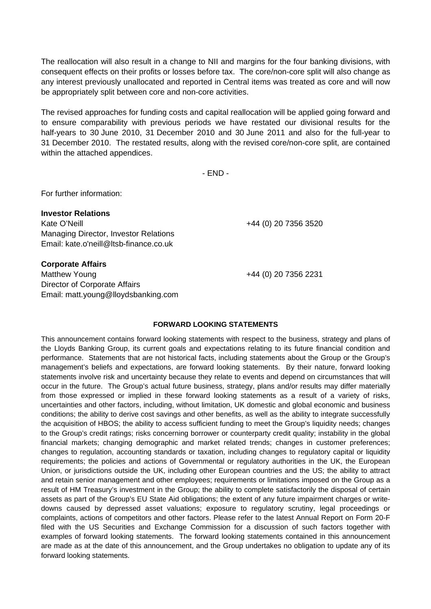The reallocation will also result in a change to NII and margins for the four banking divisions, with consequent effects on their profits or losses before tax. The core/non-core split will also change as any interest previously unallocated and reported in Central items was treated as core and will now be appropriately split between core and non-core activities.

The revised approaches for funding costs and capital reallocation will be applied going forward and to ensure comparability with previous periods we have restated our divisional results for the half-years to 30 June 2010, 31 December 2010 and 30 June 2011 and also for the full-year to 31 December 2010. The restated results, along with the revised core/non-core split, are contained within the attached appendices.

- END -

For further information:

**Investor Relations**  Kate O'Neill **+44 (0)** 20 7356 3520 Managing Director, Investor Relations Email: kate.o'neill@ltsb-finance.co.uk

**Corporate Affairs** 

Matthew Young +44 (0) 20 7356 2231 Director of Corporate Affairs Email: matt.young@lloydsbanking.com

#### **FORWARD LOOKING STATEMENTS**

This announcement contains forward looking statements with respect to the business, strategy and plans of the Lloyds Banking Group, its current goals and expectations relating to its future financial condition and performance. Statements that are not historical facts, including statements about the Group or the Group's management's beliefs and expectations, are forward looking statements. By their nature, forward looking statements involve risk and uncertainty because they relate to events and depend on circumstances that will occur in the future. The Group's actual future business, strategy, plans and/or results may differ materially from those expressed or implied in these forward looking statements as a result of a variety of risks, uncertainties and other factors, including, without limitation, UK domestic and global economic and business conditions; the ability to derive cost savings and other benefits, as well as the ability to integrate successfully the acquisition of HBOS; the ability to access sufficient funding to meet the Group's liquidity needs; changes to the Group's credit ratings; risks concerning borrower or counterparty credit quality; instability in the global financial markets; changing demographic and market related trends; changes in customer preferences; changes to regulation, accounting standards or taxation, including changes to regulatory capital or liquidity requirements; the policies and actions of Governmental or regulatory authorities in the UK, the European Union, or jurisdictions outside the UK, including other European countries and the US; the ability to attract and retain senior management and other employees; requirements or limitations imposed on the Group as a result of HM Treasury's investment in the Group; the ability to complete satisfactorily the disposal of certain assets as part of the Group's EU State Aid obligations; the extent of any future impairment charges or writedowns caused by depressed asset valuations; exposure to regulatory scrutiny, legal proceedings or complaints, actions of competitors and other factors. Please refer to the latest Annual Report on Form 20-F filed with the US Securities and Exchange Commission for a discussion of such factors together with examples of forward looking statements. The forward looking statements contained in this announcement are made as at the date of this announcement, and the Group undertakes no obligation to update any of its forward looking statements.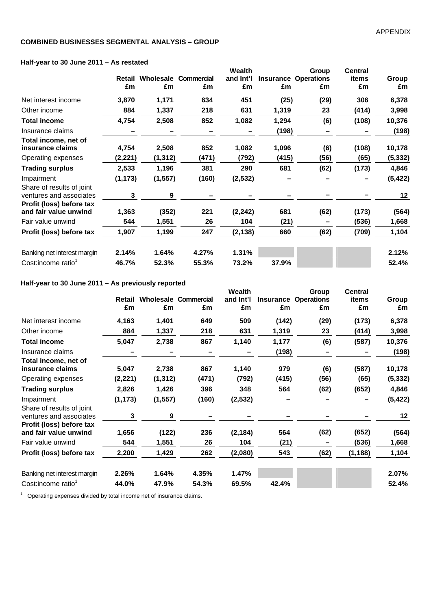#### **COMBINED BUSINESSES SEGMENTAL ANALYSIS – GROUP**

#### **Half-year to 30 June 2011 – As restated**

| $\frac{1}{2}$ and $\frac{1}{2}$ and $\frac{1}{2}$ and $\frac{1}{2}$ and $\frac{1}{2}$ and $\frac{1}{2}$ and $\frac{1}{2}$ and $\frac{1}{2}$ and $\frac{1}{2}$ and $\frac{1}{2}$ and $\frac{1}{2}$ and $\frac{1}{2}$ and $\frac{1}{2}$ and $\frac{1}{2}$ and $\frac{1}{2}$ and $\frac{1}{2}$ a |          |          |                             |               |       |                             |                |          |
|-----------------------------------------------------------------------------------------------------------------------------------------------------------------------------------------------------------------------------------------------------------------------------------------------|----------|----------|-----------------------------|---------------|-------|-----------------------------|----------------|----------|
|                                                                                                                                                                                                                                                                                               |          |          |                             | <b>Wealth</b> |       | Group                       | <b>Central</b> |          |
|                                                                                                                                                                                                                                                                                               | Retail   |          | <b>Wholesale Commercial</b> | and Int'l     |       | <b>Insurance Operations</b> | items          | Group    |
|                                                                                                                                                                                                                                                                                               | £m       | £m       | £m                          | £m            | £m    | £m                          | £m             | £m       |
| Net interest income                                                                                                                                                                                                                                                                           | 3,870    | 1,171    | 634                         | 451           | (25)  | (29)                        | 306            | 6,378    |
| Other income                                                                                                                                                                                                                                                                                  | 884      | 1,337    | 218                         | 631           | 1,319 | 23                          | (414)          | 3,998    |
| <b>Total income</b>                                                                                                                                                                                                                                                                           | 4,754    | 2,508    | 852                         | 1,082         | 1,294 | (6)                         | (108)          | 10,376   |
| Insurance claims                                                                                                                                                                                                                                                                              |          |          |                             |               | (198) |                             |                | (198)    |
| Total income, net of<br>insurance claims                                                                                                                                                                                                                                                      | 4,754    | 2,508    | 852                         | 1,082         | 1,096 | (6)                         | (108)          | 10,178   |
| Operating expenses                                                                                                                                                                                                                                                                            | (2, 221) | (1, 312) | (471)                       | (792)         | (415) | (56)                        | (65)           | (5, 332) |
| <b>Trading surplus</b>                                                                                                                                                                                                                                                                        | 2,533    | 1,196    | 381                         | 290           | 681   | (62)                        | (173)          | 4,846    |
| Impairment                                                                                                                                                                                                                                                                                    | (1, 173) | (1, 557) | (160)                       | (2, 532)      |       |                             |                | (5, 422) |
| Share of results of joint<br>ventures and associates                                                                                                                                                                                                                                          | 3        | 9        |                             |               |       |                             |                | 12       |
| Profit (loss) before tax<br>and fair value unwind                                                                                                                                                                                                                                             | 1,363    | (352)    | 221                         | (2, 242)      | 681   | (62)                        | (173)          | (564)    |
| Fair value unwind                                                                                                                                                                                                                                                                             | 544      | 1,551    | 26                          | 104           | (21)  |                             | (536)          | 1,668    |
| Profit (loss) before tax                                                                                                                                                                                                                                                                      | 1,907    | 1,199    | 247                         | (2, 138)      | 660   | (62)                        | (709)          | 1,104    |
| Banking net interest margin                                                                                                                                                                                                                                                                   | 2.14%    | 1.64%    | 4.27%                       | 1.31%         |       |                             |                | 2.12%    |
| Cost:income ratio <sup>1</sup>                                                                                                                                                                                                                                                                | 46.7%    | 52.3%    | 55.3%                       | 73.2%         | 37.9% |                             |                | 52.4%    |

### **Half-year to 30 June 2011 – As previously reported**

|                                                                                  |          |          |                             | Wealth    |       | Group                       | <b>Central</b> |          |
|----------------------------------------------------------------------------------|----------|----------|-----------------------------|-----------|-------|-----------------------------|----------------|----------|
|                                                                                  | Retail   |          | <b>Wholesale Commercial</b> | and Int'l |       | <b>Insurance Operations</b> | items          | Group    |
|                                                                                  | £m       | £m       | £m                          | £m        | £m    | £m                          | £m             | £m       |
| Net interest income                                                              | 4,163    | 1,401    | 649                         | 509       | (142) | (29)                        | (173)          | 6,378    |
| Other income                                                                     | 884      | 1,337    | 218                         | 631       | 1,319 | 23                          | (414)          | 3,998    |
| <b>Total income</b>                                                              | 5,047    | 2,738    | 867                         | 1,140     | 1,177 | (6)                         | (587)          | 10,376   |
| Insurance claims                                                                 |          |          |                             |           | (198) |                             |                | (198)    |
| Total income, net of<br>insurance claims                                         | 5,047    | 2,738    | 867                         | 1,140     | 979   | (6)                         | (587)          | 10,178   |
| Operating expenses                                                               | (2, 221) | (1, 312) | (471)                       | (792)     | (415) | (56)                        | (65)           | (5, 332) |
| <b>Trading surplus</b>                                                           | 2,826    | 1,426    | 396                         | 348       | 564   | (62)                        | (652)          | 4,846    |
| Impairment                                                                       | (1, 173) | (1, 557) | (160)                       | (2, 532)  |       |                             |                | (5, 422) |
| Share of results of joint<br>ventures and associates<br>Profit (loss) before tax | 3        | 9        |                             |           |       |                             |                | 12       |
| and fair value unwind                                                            | 1,656    | (122)    | 236                         | (2, 184)  | 564   | (62)                        | (652)          | (564)    |
| Fair value unwind                                                                | 544      | 1,551    | 26                          | 104       | (21)  |                             | (536)          | 1,668    |
| Profit (loss) before tax                                                         | 2,200    | 1,429    | 262                         | (2,080)   | 543   | (62)                        | (1, 188)       | 1,104    |
| Banking net interest margin                                                      | 2.26%    | 1.64%    | 4.35%                       | 1.47%     |       |                             |                | 2.07%    |
| Cost:income ratio <sup>1</sup>                                                   | 44.0%    | 47.9%    | 54.3%                       | 69.5%     | 42.4% |                             |                | 52.4%    |

<sup>1</sup> Operating expenses divided by total income net of insurance claims.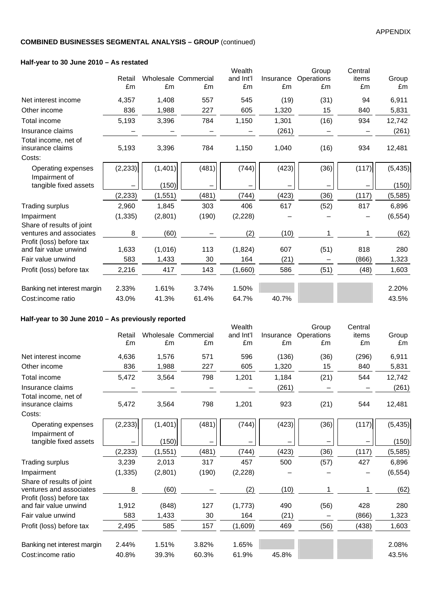### **Half-year to 30 June 2010 – As restated**

|                                                      |          |          |                      | Wealth    |           | Group      | Central |          |
|------------------------------------------------------|----------|----------|----------------------|-----------|-----------|------------|---------|----------|
|                                                      | Retail   |          | Wholesale Commercial | and Int'l | Insurance | Operations | items   | Group    |
|                                                      | £m       | £m       | £m                   | £m        | £m        | £m         | £m      | £m       |
| Net interest income                                  | 4,357    | 1,408    | 557                  | 545       | (19)      | (31)       | 94      | 6,911    |
| Other income                                         | 836      | 1,988    | 227                  | 605       | 1,320     | 15         | 840     | 5,831    |
| Total income                                         | 5,193    | 3,396    | 784                  | 1,150     | 1,301     | (16)       | 934     | 12,742   |
| Insurance claims                                     |          |          |                      |           | (261)     |            |         | (261)    |
| Total income, net of<br>insurance claims             | 5,193    | 3,396    | 784                  | 1,150     | 1,040     | (16)       | 934     | 12,481   |
| Costs:                                               |          |          |                      |           |           |            |         |          |
| Operating expenses<br>Impairment of                  | (2, 233) | (1,401)  | (481)                | (744)     | (423)     | (36)       | (117)   | (5, 435) |
| tangible fixed assets                                |          | (150)    |                      |           |           |            |         | (150)    |
|                                                      | (2, 233) | (1, 551) | (481)                | (744)     | (423)     | (36)       | (117)   | (5, 585) |
| <b>Trading surplus</b>                               | 2,960    | 1,845    | 303                  | 406       | 617       | (52)       | 817     | 6,896    |
| Impairment                                           | (1, 335) | (2,801)  | (190)                | (2, 228)  |           |            |         | (6, 554) |
| Share of results of joint<br>ventures and associates | 8        | (60)     |                      | (2)       | (10)      |            |         | (62)     |
| Profit (loss) before tax                             |          |          |                      |           |           |            |         |          |
| and fair value unwind                                | 1,633    | (1,016)  | 113                  | (1,824)   | 607       | (51)       | 818     | 280      |
| Fair value unwind                                    | 583      | 1,433    | 30                   | 164       | (21)      |            | (866)   | 1,323    |
| Profit (loss) before tax                             | 2,216    | 417      | 143                  | (1,660)   | 586       | (51)       | (48)    | 1,603    |
| Banking net interest margin                          | 2.33%    | 1.61%    | 3.74%                | 1.50%     |           |            |         | 2.20%    |
| Cost:income ratio                                    | 43.0%    | 41.3%    | 61.4%                | 64.7%     | 40.7%     |            |         | 43.5%    |
|                                                      |          |          |                      |           |           |            |         |          |

# **Half-year to 30 June 2010 – As previously reported**

| $\mu$ ran-year to 50 June 2010 – As previously reported |              |          |                            |                           |                 |                           |                        |             |
|---------------------------------------------------------|--------------|----------|----------------------------|---------------------------|-----------------|---------------------------|------------------------|-------------|
|                                                         | Retail<br>£m | £m       | Wholesale Commercial<br>£m | Wealth<br>and Int'l<br>£m | Insurance<br>£m | Group<br>Operations<br>£m | Central<br>items<br>£m | Group<br>£m |
| Net interest income                                     | 4,636        | 1,576    | 571                        | 596                       | (136)           | (36)                      | (296)                  | 6,911       |
| Other income                                            | 836          | 1,988    | 227                        | 605                       | 1,320           | 15                        | 840                    | 5,831       |
| <b>Total income</b>                                     | 5,472        | 3,564    | 798                        | 1,201                     | 1,184           | (21)                      | 544                    | 12,742      |
| Insurance claims                                        |              |          |                            |                           | (261)           |                           |                        | (261)       |
| Total income, net of<br>insurance claims                | 5,472        | 3,564    | 798                        | 1,201                     | 923             | (21)                      | 544                    | 12,481      |
| Costs:                                                  |              |          |                            |                           |                 |                           |                        |             |
| Operating expenses                                      | (2, 233)     | (1,401)  | (481)                      | (744)                     | (423)           | (36)                      | (117)                  | (5, 435)    |
| Impairment of<br>tangible fixed assets                  |              | (150)    |                            |                           |                 |                           |                        | (150)       |
|                                                         | (2, 233)     | (1, 551) | (481)                      | (744)                     | (423)           | (36)                      | (117)                  | (5, 585)    |
| Trading surplus                                         | 3,239        | 2,013    | 317                        | 457                       | 500             | (57)                      | 427                    | 6,896       |
| Impairment                                              | (1, 335)     | (2,801)  | (190)                      | (2, 228)                  |                 |                           |                        | (6, 554)    |
| Share of results of joint<br>ventures and associates    | 8            | (60)     |                            | (2)                       | (10)            | 1                         | 1                      | (62)        |
| Profit (loss) before tax<br>and fair value unwind       | 1,912        | (848)    | 127                        | (1,773)                   | 490             | (56)                      | 428                    | 280         |
| Fair value unwind                                       | 583          | 1,433    | 30                         | 164                       | (21)            |                           | (866)                  | 1,323       |
| Profit (loss) before tax                                | 2,495        | 585      | 157                        | (1,609)                   | 469             | (56)                      | (438)                  | 1,603       |
| Banking net interest margin                             | 2.44%        | 1.51%    | 3.82%                      | 1.65%                     |                 |                           |                        | 2.08%       |
| Cost:income ratio                                       | 40.8%        | 39.3%    | 60.3%                      | 61.9%                     | 45.8%           |                           |                        | 43.5%       |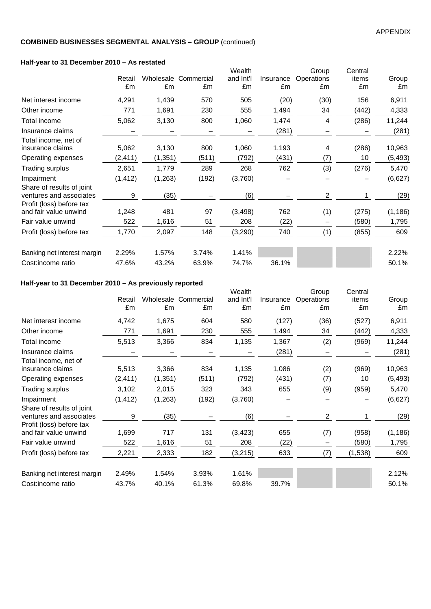### **Half-year to 31 December 2010 – As restated**

|          |              |                                                                                                               | Wealth                                         |                 | Group           | Central                 |             |
|----------|--------------|---------------------------------------------------------------------------------------------------------------|------------------------------------------------|-----------------|-----------------|-------------------------|-------------|
|          |              |                                                                                                               |                                                |                 |                 |                         | Group       |
|          |              |                                                                                                               |                                                |                 |                 |                         | £m          |
| 4,291    | 1,439        | 570                                                                                                           | 505                                            | (20)            | (30)            | 156                     | 6,911       |
| 771      | 1,691        | 230                                                                                                           | 555                                            | 1,494           | 34              | (442)                   | 4,333       |
| 5,062    | 3,130        | 800                                                                                                           | 1,060                                          | 1,474           | 4               | (286)                   | 11,244      |
|          |              |                                                                                                               |                                                | (281)           |                 |                         | (281)       |
| 5,062    | 3,130        | 800                                                                                                           | 1,060                                          | 1,193           | 4               | (286)                   | 10,963      |
| (2, 411) |              | (511)                                                                                                         | (792)                                          | (431)           | (7)             | 10                      | (5, 493)    |
| 2,651    | 1,779        | 289                                                                                                           | 268                                            | 762             | (3)             | (276)                   | 5,470       |
| (1, 412) |              | (192)                                                                                                         | (3,760)                                        |                 |                 |                         | (6,627)     |
| 9        |              |                                                                                                               | (6)                                            |                 | $\overline{c}$  |                         | (29)        |
| 1,248    | 481          | 97                                                                                                            | (3, 498)                                       | 762             |                 | (275)                   | (1, 186)    |
| 522      | 1,616        | 51                                                                                                            | 208                                            | (22)            |                 | (580)                   | 1,795       |
| 1,770    | 2,097        | 148                                                                                                           | (3,290)                                        | 740             | (1)             | (855)                   | 609         |
| 2.29%    | 1.57%        | 3.74%                                                                                                         | 1.41%                                          |                 |                 |                         | 2.22%       |
| 47.6%    | 43.2%        | 63.9%                                                                                                         | 74.7%                                          | 36.1%           |                 |                         | 50.1%       |
|          | Retail<br>£m | $\frac{1}{2}$ and $\frac{1}{2}$ and $\frac{1}{2}$ becompled zo to $\frac{1}{2}$ as restated<br>£m<br>(1, 351) | Wholesale Commercial<br>£m<br>(1, 263)<br>(35) | and Int'l<br>£m | Insurance<br>£m | Operations<br>£m<br>(1) | items<br>£m |

### **Half-year to 31 December 2010 – As previously reported**

| Haif-year to 31 December 2010 – As previously reported                           |          |          |                      |                     |           |                     |                  |          |
|----------------------------------------------------------------------------------|----------|----------|----------------------|---------------------|-----------|---------------------|------------------|----------|
|                                                                                  | Retail   |          | Wholesale Commercial | Wealth<br>and Int'l | Insurance | Group<br>Operations | Central<br>items | Group    |
|                                                                                  | £m       | £m       | £m                   | £m                  | £m        | £m                  | £m               | £m       |
| Net interest income                                                              | 4,742    | 1,675    | 604                  | 580                 | (127)     | (36)                | (527)            | 6,911    |
| Other income                                                                     | 771      | 1,691    | 230                  | 555                 | 1,494     | 34                  | (442)            | 4,333    |
| Total income                                                                     | 5,513    | 3,366    | 834                  | 1,135               | 1,367     | (2)                 | (969)            | 11,244   |
| Insurance claims                                                                 |          |          |                      |                     | (281)     |                     |                  | (281)    |
| Total income, net of<br>insurance claims                                         | 5,513    | 3,366    | 834                  | 1,135               | 1,086     | (2)                 | (969)            | 10,963   |
| Operating expenses                                                               | (2,411)  | (1,351)  | (511)                | (792)               | (431)     | (7)                 | 10               | (5, 493) |
| <b>Trading surplus</b>                                                           | 3,102    | 2,015    | 323                  | 343                 | 655       | (9)                 | (959)            | 5,470    |
| Impairment                                                                       | (1, 412) | (1, 263) | (192)                | (3,760)             |           |                     |                  | (6,627)  |
| Share of results of joint<br>ventures and associates<br>Profit (loss) before tax | 9        | (35)     |                      | (6)                 |           | $\overline{2}$      | 1                | (29)     |
| and fair value unwind                                                            | 1,699    | 717      | 131                  | (3, 423)            | 655       | (7)                 | (958)            | (1, 186) |
| Fair value unwind                                                                | 522      | 1,616    | 51                   | 208                 | (22)      |                     | (580)            | 1,795    |
| Profit (loss) before tax                                                         | 2,221    | 2,333    | 182                  | (3, 215)            | 633       | (7)                 | (1,538)          | 609      |
| Banking net interest margin                                                      | 2.49%    | 1.54%    | 3.93%                | 1.61%               |           |                     |                  | 2.12%    |
| Cost:income ratio                                                                | 43.7%    | 40.1%    | 61.3%                | 69.8%               | 39.7%     |                     |                  | 50.1%    |
|                                                                                  |          |          |                      |                     |           |                     |                  |          |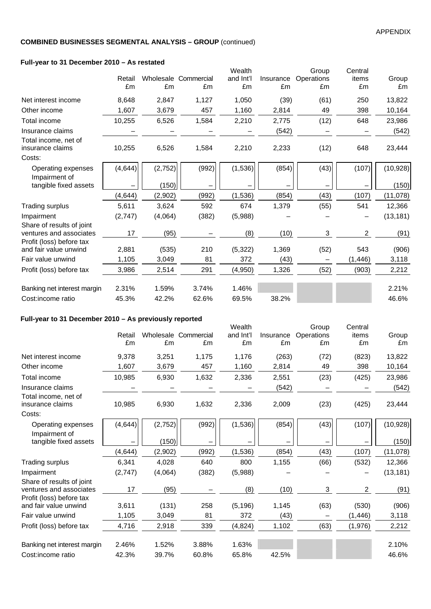### **Full-year to 31 December 2010 – As restated**

| $\frac{1}{2}$ an-year to 31 December 2010 – As restated |              |          |                            |                           |                 |                           |                        |             |
|---------------------------------------------------------|--------------|----------|----------------------------|---------------------------|-----------------|---------------------------|------------------------|-------------|
|                                                         | Retail<br>£m | £m       | Wholesale Commercial<br>£m | Wealth<br>and Int'l<br>£m | Insurance<br>£m | Group<br>Operations<br>£m | Central<br>items<br>£m | Group<br>£m |
| Net interest income                                     | 8,648        | 2,847    | 1,127                      | 1,050                     | (39)            | (61)                      | 250                    | 13,822      |
| Other income                                            | 1,607        | 3,679    | 457                        | 1,160                     | 2,814           | 49                        | 398                    | 10,164      |
| Total income                                            | 10,255       | 6,526    | 1,584                      | 2,210                     | 2,775           | (12)                      | 648                    | 23,986      |
| Insurance claims                                        |              |          |                            |                           | (542)           |                           |                        | (542)       |
| Total income, net of<br>insurance claims<br>Costs:      | 10,255       | 6,526    | 1,584                      | 2,210                     | 2,233           | (12)                      | 648                    | 23,444      |
| Operating expenses<br>Impairment of                     | (4, 644)     | (2, 752) | (992)                      | (1,536)                   | (854)           | (43)                      | (107)                  | (10, 928)   |
| tangible fixed assets                                   |              | (150)    | -                          |                           |                 |                           |                        | (150)       |
|                                                         | (4, 644)     | (2,902)  | (992)                      | (1,536)                   | (854)           | (43)                      | (107)                  | (11,078)    |
| Trading surplus                                         | 5,611        | 3,624    | 592                        | 674                       | 1,379           | (55)                      | 541                    | 12,366      |
| Impairment                                              | (2,747)      | (4,064)  | (382)                      | (5,988)                   |                 |                           |                        | (13, 181)   |
| Share of results of joint<br>ventures and associates    | 17           | (95)     |                            | (8)                       | (10)            | 3                         | 2                      | (91)        |
| Profit (loss) before tax<br>and fair value unwind       | 2,881        | (535)    | 210                        | (5, 322)                  | 1,369           | (52)                      | 543                    | (906)       |
| Fair value unwind                                       | 1,105        | 3,049    | 81                         | 372                       | (43)            |                           | (1, 446)               | 3,118       |
| Profit (loss) before tax                                | 3,986        | 2,514    | 291                        | (4,950)                   | 1,326           | (52)                      | (903)                  | 2,212       |
| Banking net interest margin                             | 2.31%        | 1.59%    | 3.74%                      | 1.46%                     |                 |                           |                        | 2.21%       |
| Cost:income ratio                                       | 45.3%        | 42.2%    | 62.6%                      | 69.5%                     | 38.2%           |                           |                        | 46.6%       |

# **Full-year to 31 December 2010 – As previously reported**

|                                                   |          |         |                      | Wealth    |           | Group      | Central        |           |
|---------------------------------------------------|----------|---------|----------------------|-----------|-----------|------------|----------------|-----------|
|                                                   | Retail   |         | Wholesale Commercial | and Int'l | Insurance | Operations | items          | Group     |
|                                                   | £m       | £m      | £m                   | £m        | £m        | £m         | £m             | £m        |
| Net interest income                               | 9,378    | 3,251   | 1,175                | 1,176     | (263)     | (72)       | (823)          | 13,822    |
| Other income                                      | 1,607    | 3,679   | 457                  | 1,160     | 2,814     | 49         | 398            | 10,164    |
| <b>Total income</b>                               | 10,985   | 6,930   | 1,632                | 2,336     | 2,551     | (23)       | (425)          | 23,986    |
| Insurance claims                                  |          |         |                      |           | (542)     |            |                | (542)     |
| Total income, net of<br>insurance claims          | 10,985   | 6,930   | 1,632                | 2,336     | 2,009     | (23)       | (425)          | 23,444    |
| Costs:                                            |          |         |                      |           |           |            |                |           |
| Operating expenses<br>Impairment of               | (4, 644) | (2,752) | (992)                | (1,536)   | (854)     | (43)       | (107)          | (10, 928) |
| tangible fixed assets                             |          | (150)   | -                    |           |           |            |                | (150)     |
|                                                   | (4, 644) | (2,902) | (992)                | (1,536)   | (854)     | (43)       | (107)          | (11,078)  |
| <b>Trading surplus</b>                            | 6,341    | 4,028   | 640                  | 800       | 1,155     | (66)       | (532)          | 12,366    |
| Impairment                                        | (2,747)  | (4,064) | (382)                | (5,988)   |           |            |                | (13, 181) |
| Share of results of joint                         |          |         |                      |           |           |            |                |           |
| ventures and associates                           | 17       | (95)    |                      | (8)       | (10)      | 3          | $\overline{2}$ | (91)      |
| Profit (loss) before tax<br>and fair value unwind | 3,611    | (131)   | 258                  | (5, 196)  | 1,145     | (63)       | (530)          | (906)     |
| Fair value unwind                                 | 1,105    | 3,049   | 81                   | 372       | (43)      |            | (1, 446)       | 3,118     |
| Profit (loss) before tax                          | 4,716    | 2,918   | 339                  | (4,824)   | 1,102     | (63)       | (1,976)        | 2,212     |
| Banking net interest margin                       | 2.46%    | 1.52%   | 3.88%                | 1.63%     |           |            |                | 2.10%     |
| Cost:income ratio                                 | 42.3%    | 39.7%   | 60.8%                | 65.8%     | 42.5%     |            |                | 46.6%     |
|                                                   |          |         |                      |           |           |            |                |           |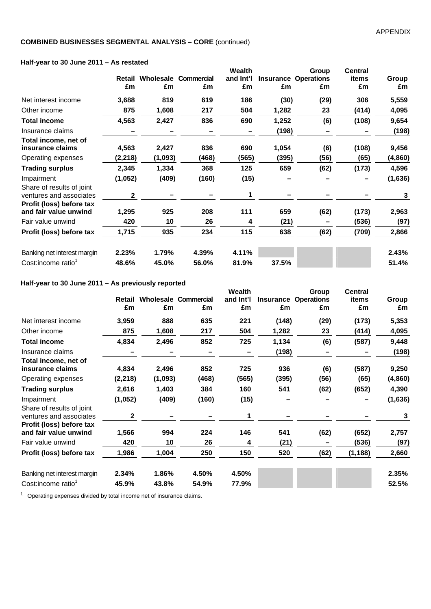### **Half-year to 30 June 2011 – As restated**

|                                                                                  |              |         |                             | Wealth    |       | Group                       | <b>Central</b> |          |
|----------------------------------------------------------------------------------|--------------|---------|-----------------------------|-----------|-------|-----------------------------|----------------|----------|
|                                                                                  | Retail       |         | <b>Wholesale Commercial</b> | and Int'l |       | <b>Insurance Operations</b> | items          | Group    |
|                                                                                  | £m           | £m      | £m                          | £m        | £m    | £m                          | £m             | £m       |
| Net interest income                                                              | 3,688        | 819     | 619                         | 186       | (30)  | (29)                        | 306            | 5,559    |
| Other income                                                                     | 875          | 1,608   | 217                         | 504       | 1,282 | 23                          | (414)          | 4,095    |
| <b>Total income</b>                                                              | 4,563        | 2,427   | 836                         | 690       | 1,252 | (6)                         | (108)          | 9,654    |
| Insurance claims                                                                 |              |         |                             |           | (198) |                             |                | (198)    |
| Total income, net of<br>insurance claims                                         | 4,563        | 2,427   | 836                         | 690       | 1,054 | (6)                         | (108)          | 9,456    |
| Operating expenses                                                               | (2,218)      | (1,093) | (468)                       | (565)     | (395) | (56)                        | (65)           | (4, 860) |
| <b>Trading surplus</b>                                                           | 2,345        | 1,334   | 368                         | 125       | 659   | (62)                        | (173)          | 4,596    |
| Impairment                                                                       | (1,052)      | (409)   | (160)                       | (15)      |       |                             |                | (1,636)  |
| Share of results of joint<br>ventures and associates<br>Profit (loss) before tax | $\mathbf{2}$ |         |                             | 1         |       |                             |                | 3        |
| and fair value unwind                                                            | 1,295        | 925     | 208                         | 111       | 659   | (62)                        | (173)          | 2,963    |
| Fair value unwind                                                                | 420          | 10      | 26                          | 4         | (21)  |                             | (536)          | (97)     |
| Profit (loss) before tax                                                         | 1,715        | 935     | 234                         | 115       | 638   | (62)                        | (709)          | 2,866    |
| Banking net interest margin                                                      | 2.23%        | 1.79%   | 4.39%                       | 4.11%     |       |                             |                | 2.43%    |
| Cost:income ratio <sup>1</sup>                                                   | 48.6%        | 45.0%   | 56.0%                       | 81.9%     | 37.5% |                             |                | 51.4%    |

### **Half-year to 30 June 2011 – As previously reported**

| Haif-year to su June ZuTT – As previously reported   |          |         |                             |           |       |                             |                |          |
|------------------------------------------------------|----------|---------|-----------------------------|-----------|-------|-----------------------------|----------------|----------|
|                                                      |          |         |                             | Wealth    |       | Group                       | <b>Central</b> |          |
|                                                      | Retail   |         | <b>Wholesale Commercial</b> | and Int'l |       | <b>Insurance Operations</b> | items          | Group    |
|                                                      | £m       | £m      | £m                          | £m        | £m    | £m                          | £m             | £m       |
| Net interest income                                  | 3,959    | 888     | 635                         | 221       | (148) | (29)                        | (173)          | 5,353    |
| Other income                                         | 875      | 1,608   | 217                         | 504       | 1,282 | 23                          | (414)          | 4,095    |
| <b>Total income</b>                                  | 4,834    | 2,496   | 852                         | 725       | 1,134 | (6)                         | (587)          | 9,448    |
| Insurance claims                                     |          |         |                             |           | (198) |                             |                | (198)    |
| Total income, net of<br>insurance claims             | 4,834    | 2,496   | 852                         | 725       | 936   | (6)                         | (587)          | 9,250    |
| Operating expenses                                   | (2, 218) | (1,093) | (468)                       | (565)     | (395) | (56)                        | (65)           | (4, 860) |
| <b>Trading surplus</b>                               | 2,616    | 1,403   | 384                         | 160       | 541   | (62)                        | (652)          | 4,390    |
| Impairment                                           | (1,052)  | (409)   | (160)                       | (15)      |       |                             |                | (1,636)  |
| Share of results of joint<br>ventures and associates | 2        |         |                             | 1         |       |                             |                | 3        |
| Profit (loss) before tax<br>and fair value unwind    | 1,566    | 994     | 224                         | 146       | 541   | (62)                        | (652)          | 2,757    |
| Fair value unwind                                    | 420      | 10      | 26                          | 4         | (21)  |                             | (536)          | (97)     |
| Profit (loss) before tax                             | 1,986    | 1,004   | 250                         | 150       | 520   | (62)                        | (1, 188)       | 2,660    |
| Banking net interest margin                          | 2.34%    | 1.86%   | 4.50%                       | 4.50%     |       |                             |                | 2.35%    |
| Cost:income ratio <sup>1</sup>                       | 45.9%    | 43.8%   | 54.9%                       | 77.9%     |       |                             |                | 52.5%    |

<sup>1</sup> Operating expenses divided by total income net of insurance claims.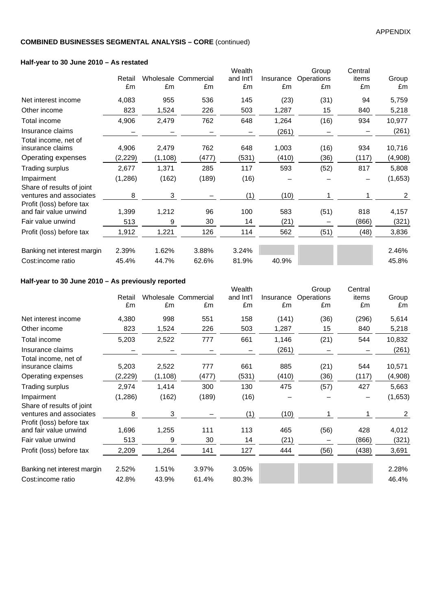### **Half-year to 30 June 2010 – As restated**

| $11$ $11$ $12$ $13$ $14$ $10$ $10$ $10$                                          |         |          |                      |                     |           |                     |                  |                |
|----------------------------------------------------------------------------------|---------|----------|----------------------|---------------------|-----------|---------------------|------------------|----------------|
|                                                                                  | Retail  |          | Wholesale Commercial | Wealth<br>and Int'l | Insurance | Group<br>Operations | Central<br>items | Group          |
|                                                                                  | £m      | £m       | £m                   | £m                  | £m        | £m                  | £m               | £m             |
| Net interest income                                                              | 4,083   | 955      | 536                  | 145                 | (23)      | (31)                | 94               | 5,759          |
| Other income                                                                     | 823     | 1,524    | 226                  | 503                 | 1,287     | 15                  | 840              | 5,218          |
| Total income                                                                     | 4,906   | 2,479    | 762                  | 648                 | 1,264     | (16)                | 934              | 10,977         |
| Insurance claims                                                                 |         |          |                      |                     | (261)     |                     |                  | (261)          |
| Total income, net of<br>insurance claims                                         | 4,906   | 2,479    | 762                  | 648                 | 1,003     | (16)                | 934              | 10,716         |
| Operating expenses                                                               | (2,229) | (1, 108) | (477)                | (531)               | (410)     | (36)                | (117)            | (4,908)        |
| Trading surplus                                                                  | 2,677   | 1,371    | 285                  | 117                 | 593       | (52)                | 817              | 5,808          |
| Impairment                                                                       | (1,286) | (162)    | (189)                | (16)                |           |                     |                  | (1,653)        |
| Share of results of joint<br>ventures and associates<br>Profit (loss) before tax | 8       | 3        |                      | (1)                 | (10)      |                     |                  | $\overline{2}$ |
| and fair value unwind                                                            | 1,399   | 1,212    | 96                   | 100                 | 583       | (51)                | 818              | 4,157          |
| Fair value unwind                                                                | 513     | 9        | 30                   | 14                  | (21)      |                     | (866)            | (321)          |
| Profit (loss) before tax                                                         | 1,912   | 1,221    | 126                  | 114                 | 562       | (51)                | (48)             | 3,836          |
| Banking net interest margin                                                      | 2.39%   | 1.62%    | 3.88%                | 3.24%               |           |                     |                  | 2.46%          |
| Cost:income ratio                                                                | 45.4%   | 44.7%    | 62.6%                | 81.9%               | 40.9%     |                     |                  | 45.8%          |

### **Half-year to 30 June 2010 – As previously reported**

| $\frac{1}{2}$ and $\frac{1}{2}$ are $\frac{1}{2}$ and $\frac{1}{2}$ are $\frac{1}{2}$ and $\frac{1}{2}$ are $\frac{1}{2}$ and $\frac{1}{2}$ are $\frac{1}{2}$ and $\frac{1}{2}$ are $\frac{1}{2}$ and $\frac{1}{2}$ are $\frac{1}{2}$ and $\frac{1}{2}$ are $\frac{1}{2}$ and $\frac{1}{2}$ a |          |          |                      |           |           |            |         |         |
|-----------------------------------------------------------------------------------------------------------------------------------------------------------------------------------------------------------------------------------------------------------------------------------------------|----------|----------|----------------------|-----------|-----------|------------|---------|---------|
|                                                                                                                                                                                                                                                                                               |          |          |                      | Wealth    |           | Group      | Central |         |
|                                                                                                                                                                                                                                                                                               | Retail   |          | Wholesale Commercial | and Int'l | Insurance | Operations | items   | Group   |
|                                                                                                                                                                                                                                                                                               | £m       | £m       | £m                   | £m        | £m        | £m         | £m      | £m      |
| Net interest income                                                                                                                                                                                                                                                                           | 4,380    | 998      | 551                  | 158       | (141)     | (36)       | (296)   | 5,614   |
| Other income                                                                                                                                                                                                                                                                                  | 823      | 1,524    | 226                  | 503       | 1,287     | 15         | 840     | 5,218   |
| Total income                                                                                                                                                                                                                                                                                  | 5,203    | 2,522    | 777                  | 661       | 1,146     | (21)       | 544     | 10,832  |
| Insurance claims                                                                                                                                                                                                                                                                              |          |          |                      |           | (261)     |            |         | (261)   |
| Total income, net of                                                                                                                                                                                                                                                                          |          |          |                      |           |           |            |         |         |
| insurance claims                                                                                                                                                                                                                                                                              | 5,203    | 2,522    | 777                  | 661       | 885       | (21)       | 544     | 10,571  |
| Operating expenses                                                                                                                                                                                                                                                                            | (2, 229) | (1, 108) | (477)                | (531)     | (410)     | (36)       | (117)   | (4,908) |
| <b>Trading surplus</b>                                                                                                                                                                                                                                                                        | 2,974    | 1,414    | 300                  | 130       | 475       | (57)       | 427     | 5,663   |
| Impairment                                                                                                                                                                                                                                                                                    | (1, 286) | (162)    | (189)                | (16)      |           |            |         | (1,653) |
| Share of results of joint                                                                                                                                                                                                                                                                     |          |          |                      |           |           |            |         |         |
| ventures and associates                                                                                                                                                                                                                                                                       | 8        | 3        |                      | (1)       | (10)      |            | 1       | 2       |
| Profit (loss) before tax                                                                                                                                                                                                                                                                      |          |          |                      |           |           |            |         |         |
| and fair value unwind                                                                                                                                                                                                                                                                         | 1,696    | 1,255    | 111                  | 113       | 465       | (56)       | 428     | 4,012   |
| Fair value unwind                                                                                                                                                                                                                                                                             | 513      | 9        | 30                   | 14        | (21)      |            | (866)   | (321)   |
| Profit (loss) before tax                                                                                                                                                                                                                                                                      | 2,209    | 1,264    | 141                  | 127       | 444       | (56)       | (438)   | 3,691   |
| Banking net interest margin                                                                                                                                                                                                                                                                   | 2.52%    | 1.51%    | 3.97%                | 3.05%     |           |            |         | 2.28%   |
| Cost:income ratio                                                                                                                                                                                                                                                                             | 42.8%    | 43.9%    | 61.4%                | 80.3%     |           |            |         | 46.4%   |
|                                                                                                                                                                                                                                                                                               |          |          |                      |           |           |            |         |         |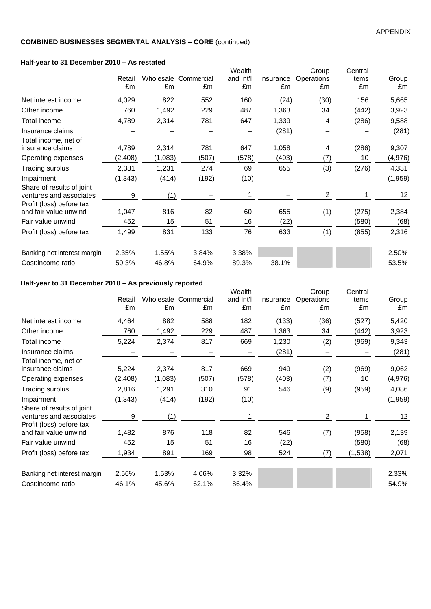### **Half-year to 31 December 2010 – As restated**

| $\frac{1}{2}$ and $\frac{1}{2}$ and $\frac{1}{2}$ becompled zo to $\frac{1}{2}$ as restated |          |         |                      |           |           |                |         |                 |
|---------------------------------------------------------------------------------------------|----------|---------|----------------------|-----------|-----------|----------------|---------|-----------------|
|                                                                                             |          |         |                      | Wealth    |           | Group          | Central |                 |
|                                                                                             | Retail   |         | Wholesale Commercial | and Int'l | Insurance | Operations     | items   | Group           |
|                                                                                             | £m       | £m      | £m                   | £m        | £m        | £m             | £m      | £m              |
| Net interest income                                                                         | 4,029    | 822     | 552                  | 160       | (24)      | (30)           | 156     | 5,665           |
| Other income                                                                                | 760      | 1,492   | 229                  | 487       | 1,363     | 34             | (442)   | 3,923           |
| Total income                                                                                | 4,789    | 2,314   | 781                  | 647       | 1,339     | 4              | (286)   | 9,588           |
| Insurance claims                                                                            |          |         |                      |           | (281)     |                |         | (281)           |
| Total income, net of<br>insurance claims                                                    | 4,789    | 2,314   | 781                  | 647       | 1,058     | 4              | (286)   | 9,307           |
| Operating expenses                                                                          | (2, 408) | (1,083) | (507)                | (578)     | (403)     | (7)            | 10      | (4,976)         |
| <b>Trading surplus</b>                                                                      | 2,381    | 1,231   | 274                  | 69        | 655       | (3)            | (276)   | 4,331           |
| Impairment                                                                                  | (1, 343) | (414)   | (192)                | (10)      |           |                |         | (1,959)         |
| Share of results of joint<br>ventures and associates<br>Profit (loss) before tax            | 9        | (1)     |                      |           |           | $\overline{2}$ | 1       | 12 <sub>2</sub> |
| and fair value unwind                                                                       | 1,047    | 816     | 82                   | 60        | 655       | (1)            | (275)   | 2,384           |
| Fair value unwind                                                                           | 452      | 15      | 51                   | 16        | (22)      |                | (580)   | (68)            |
| Profit (loss) before tax                                                                    | 1,499    | 831     | 133                  | 76        | 633       | (1)            | (855)   | 2,316           |
| Banking net interest margin                                                                 | 2.35%    | 1.55%   | 3.84%                | 3.38%     |           |                |         | 2.50%           |
| Cost:income ratio                                                                           | 50.3%    | 46.8%   | 64.9%                | 89.3%     | 38.1%     |                |         | 53.5%           |

### **Half-year to 31 December 2010 – As previously reported**

| Haif-year to 31 December 2010 – As previously reported                           |          |         |                      |                     |           |                     |                  |         |
|----------------------------------------------------------------------------------|----------|---------|----------------------|---------------------|-----------|---------------------|------------------|---------|
|                                                                                  | Retail   |         | Wholesale Commercial | Wealth<br>and Int'l | Insurance | Group<br>Operations | Central<br>items | Group   |
|                                                                                  | £m       | £m      | £m                   | £m                  | £m        | £m                  | £m               | £m      |
| Net interest income                                                              | 4,464    | 882     | 588                  | 182                 | (133)     | (36)                | (527)            | 5,420   |
| Other income                                                                     | 760      | 1,492   | 229                  | 487                 | 1,363     | 34                  | (442)            | 3,923   |
| Total income                                                                     | 5,224    | 2,374   | 817                  | 669                 | 1,230     | (2)                 | (969)            | 9,343   |
| Insurance claims                                                                 |          |         |                      |                     | (281)     |                     |                  | (281)   |
| Total income, net of<br>insurance claims                                         | 5,224    | 2,374   | 817                  | 669                 | 949       | (2)                 | (969)            | 9,062   |
| Operating expenses                                                               | (2, 408) | (1,083) | (507)                | (578)               | (403)     | (7)                 | 10               | (4,976) |
| <b>Trading surplus</b>                                                           | 2,816    | 1,291   | 310                  | 91                  | 546       | (9)                 | (959)            | 4,086   |
| Impairment                                                                       | (1, 343) | (414)   | (192)                | (10)                |           |                     |                  | (1,959) |
| Share of results of joint<br>ventures and associates<br>Profit (loss) before tax | 9        | (1)     |                      |                     |           | $\overline{2}$      |                  | 12      |
| and fair value unwind                                                            | 1,482    | 876     | 118                  | 82                  | 546       | (7)                 | (958)            | 2,139   |
| Fair value unwind                                                                | 452      | 15      | 51                   | 16                  | (22)      |                     | (580)            | (68)    |
| Profit (loss) before tax                                                         | 1,934    | 891     | 169                  | 98                  | 524       | (7)                 | (1,538)          | 2,071   |
| Banking net interest margin                                                      | 2.56%    | 1.53%   | 4.06%                | 3.32%               |           |                     |                  | 2.33%   |
| Cost:income ratio                                                                | 46.1%    | 45.6%   | 62.1%                | 86.4%               |           |                     |                  | 54.9%   |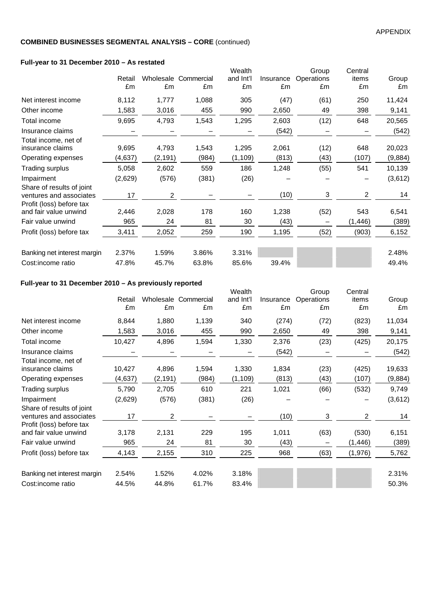### **Full-year to 31 December 2010 – As restated**

| Retail<br>£m | £m               | £m                                                               | Wealth<br>and Int'l<br>£m                                 | Insurance<br>£m | Group<br>Operations<br>£m | Central<br>items<br>£m | Group<br>£m       |
|--------------|------------------|------------------------------------------------------------------|-----------------------------------------------------------|-----------------|---------------------------|------------------------|-------------------|
| 8,112        | 1,777            | 1,088                                                            | 305                                                       | (47)            | (61)                      | 250                    | 11,424            |
| 1,583        | 3,016            | 455                                                              | 990                                                       | 2,650           | 49                        | 398                    | 9,141             |
| 9,695        | 4,793            | 1,543                                                            | 1,295                                                     | 2,603           | (12)                      | 648                    | 20,565            |
|              |                  |                                                                  |                                                           | (542)           |                           |                        | (542)             |
| 9,695        | 4,793            | 1,543                                                            | 1,295                                                     | 2,061           | (12)                      | 648                    | 20,023<br>(9,884) |
|              |                  |                                                                  |                                                           |                 |                           |                        | 10,139            |
| (2,629)      |                  | (381)                                                            | (26)                                                      |                 |                           |                        | (3,612)           |
| 17           | 2                |                                                                  |                                                           | (10)            | 3                         | 2                      | 14                |
| 2,446        | 2,028            | 178                                                              | 160                                                       | 1,238           | (52)                      | 543                    | 6,541             |
| 965          | 24               | 81                                                               | 30                                                        | (43)            |                           | (1, 446)               | (389)             |
| 3,411        | 2,052            | 259                                                              | 190                                                       | 1,195           | (52)                      | (903)                  | 6,152             |
| 2.37%        | 1.59%            | 3.86%                                                            | 3.31%                                                     |                 |                           |                        | 2.48%             |
| 47.8%        | 45.7%            | 63.8%                                                            | 85.6%                                                     | 39.4%           |                           |                        | 49.4%             |
|              | (4,637)<br>5,058 | $\frac{1}{2}$ an-year to 31 December 2010 – As restated<br>2,602 | Wholesale Commercial<br>(2, 191)<br>(984)<br>559<br>(576) | (1, 109)<br>186 | (813)<br>1,248            | (43)<br>(55)           | (107)<br>541      |

### **Full-year to 31 December 2010 – As previously reported**

| Full-year to 31 December 2010 – As previously reported                           |              |                |                            |                           |                 |                           |                        |             |
|----------------------------------------------------------------------------------|--------------|----------------|----------------------------|---------------------------|-----------------|---------------------------|------------------------|-------------|
|                                                                                  | Retail<br>£m | £m             | Wholesale Commercial<br>£m | Wealth<br>and Int'l<br>£m | Insurance<br>£m | Group<br>Operations<br>£m | Central<br>items<br>£m | Group<br>£m |
| Net interest income                                                              | 8,844        | 1,880          | 1,139                      | 340                       | (274)           | (72)                      | (823)                  | 11,034      |
| Other income                                                                     | 1,583        | 3,016          | 455                        | 990                       | 2,650           | 49                        | 398                    | 9,141       |
| Total income                                                                     | 10,427       | 4,896          | 1,594                      | 1,330                     | 2,376           | (23)                      | (425)                  | 20,175      |
| Insurance claims                                                                 |              |                |                            |                           | (542)           |                           |                        | (542)       |
| Total income, net of<br>insurance claims                                         | 10,427       | 4,896          | 1,594                      | 1,330                     | 1,834           | (23)                      | (425)                  | 19,633      |
| Operating expenses                                                               | (4,637)      | (2, 191)       | (984)                      | (1, 109)                  | (813)           | (43)                      | (107)                  | (9,884)     |
| Trading surplus                                                                  | 5,790        | 2,705          | 610                        | 221                       | 1,021           | (66)                      | (532)                  | 9,749       |
| Impairment                                                                       | (2,629)      | (576)          | (381)                      | (26)                      |                 |                           |                        | (3,612)     |
| Share of results of joint<br>ventures and associates<br>Profit (loss) before tax | 17           | $\overline{2}$ |                            |                           | (10)            | 3                         | 2                      | 14          |
| and fair value unwind                                                            | 3,178        | 2,131          | 229                        | 195                       | 1,011           | (63)                      | (530)                  | 6,151       |
| Fair value unwind                                                                | 965          | 24             | 81                         | 30                        | (43)            |                           | (1, 446)               | (389)       |
| Profit (loss) before tax                                                         | 4,143        | 2,155          | 310                        | 225                       | 968             | (63)                      | (1,976)                | 5,762       |
| Banking net interest margin                                                      | 2.54%        | 1.52%          | 4.02%                      | 3.18%                     |                 |                           |                        | 2.31%       |
| Cost:income ratio                                                                | 44.5%        | 44.8%          | 61.7%                      | 83.4%                     |                 |                           |                        | 50.3%       |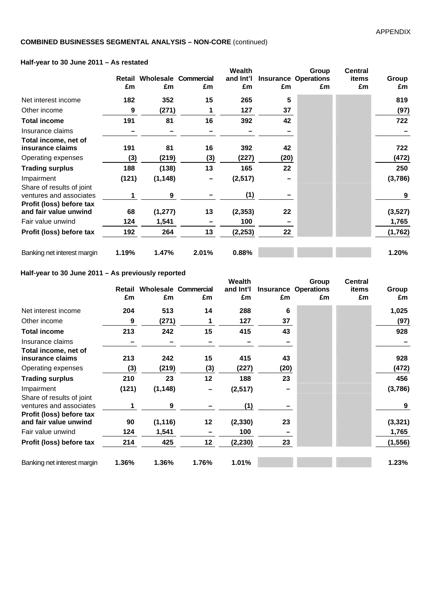### **Half-year to 30 June 2011 – As restated**

|                                                                                  | Retail<br>£m | £m       | <b>Wholesale Commercial</b><br>£m | Wealth<br>and Int'l<br>£m | £m   | Group<br><b>Insurance Operations</b><br>£m | <b>Central</b><br>items<br>£m | Group<br>£m |
|----------------------------------------------------------------------------------|--------------|----------|-----------------------------------|---------------------------|------|--------------------------------------------|-------------------------------|-------------|
| Net interest income                                                              | 182          | 352      | 15                                | 265                       | 5    |                                            |                               | 819         |
| Other income                                                                     | 9            | (271)    |                                   | 127                       | 37   |                                            |                               | (97)        |
| Total income                                                                     | 191          | 81       | 16                                | 392                       | 42   |                                            |                               | 722         |
| Insurance claims                                                                 |              |          |                                   |                           |      |                                            |                               |             |
| Total income, net of<br>insurance claims                                         | 191          | 81       | 16                                | 392                       | 42   |                                            |                               | 722         |
| Operating expenses                                                               | (3)          | (219)    | (3)                               | (227)                     | (20) |                                            |                               | (472)       |
| <b>Trading surplus</b>                                                           | 188          | (138)    | 13                                | 165                       | 22   |                                            |                               | 250         |
| Impairment                                                                       | (121)        | (1, 148) |                                   | (2, 517)                  |      |                                            |                               | (3,786)     |
| Share of results of joint<br>ventures and associates<br>Profit (loss) before tax |              | 9        |                                   | (1)                       |      |                                            |                               | 9           |
| and fair value unwind                                                            | 68           | (1, 277) | 13                                | (2, 353)                  | 22   |                                            |                               | (3,527)     |
| Fair value unwind                                                                | 124          | 1,541    |                                   | 100                       |      |                                            |                               | 1,765       |
| Profit (loss) before tax                                                         | 192          | 264      | 13                                | (2, 253)                  | 22   |                                            |                               | (1,762)     |
| Banking net interest margin                                                      | 1.19%        | 1.47%    | 2.01%                             | 0.88%                     |      |                                            |                               | 1.20%       |

### **Half-year to 30 June 2011 – As previously reported**

|                                                                                  | Retail<br>£m | £m       | <b>Wholesale Commercial</b><br>£m | Wealth<br>and Int'l<br>£m | £m   | Group<br><b>Insurance Operations</b><br>£m | <b>Central</b><br>items<br>£m | Group<br>£m |
|----------------------------------------------------------------------------------|--------------|----------|-----------------------------------|---------------------------|------|--------------------------------------------|-------------------------------|-------------|
| Net interest income                                                              | 204          | 513      | 14                                | 288                       | 6    |                                            |                               | 1,025       |
| Other income                                                                     | 9            | (271)    | 1                                 | 127                       | 37   |                                            |                               | (97)        |
| Total income                                                                     | 213          | 242      | 15                                | 415                       | 43   |                                            |                               | 928         |
| Insurance claims                                                                 |              |          |                                   |                           |      |                                            |                               |             |
| Total income, net of<br>insurance claims                                         | 213          | 242      | 15                                | 415                       | 43   |                                            |                               | 928         |
| Operating expenses                                                               | (3)          | (219)    | (3)                               | (227)                     | (20) |                                            |                               | (472)       |
| <b>Trading surplus</b>                                                           | 210          | 23       | 12                                | 188                       | 23   |                                            |                               | 456         |
| Impairment                                                                       | (121)        | (1, 148) |                                   | (2, 517)                  |      |                                            |                               | (3,786)     |
| Share of results of joint<br>ventures and associates<br>Profit (loss) before tax |              | 9        |                                   | (1)                       |      |                                            |                               | 9           |
| and fair value unwind                                                            | 90           | (1, 116) | 12                                | (2, 330)                  | 23   |                                            |                               | (3, 321)    |
| Fair value unwind                                                                | 124          | 1,541    |                                   | 100                       |      |                                            |                               | 1,765       |
| Profit (loss) before tax                                                         | 214          | 425      | 12                                | (2, 230)                  | 23   |                                            |                               | (1, 556)    |
| Banking net interest margin                                                      | 1.36%        | 1.36%    | 1.76%                             | 1.01%                     |      |                                            |                               | 1.23%       |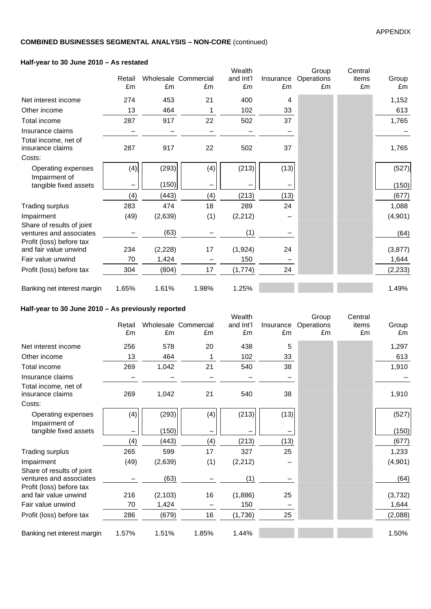### **Half-year to 30 June 2010 – As restated**

|                                                      | Retail<br>£m | £m       | Wholesale Commercial<br>£m | Wealth<br>and Int'l<br>£m | Insurance<br>£m | Group<br>Operations<br>£m | Central<br>items<br>£m | Group<br>£m |
|------------------------------------------------------|--------------|----------|----------------------------|---------------------------|-----------------|---------------------------|------------------------|-------------|
| Net interest income                                  | 274          | 453      | 21                         | 400                       | 4               |                           |                        | 1,152       |
| Other income                                         | 13           | 464      | 1                          | 102                       | 33              |                           |                        | 613         |
| Total income                                         | 287          | 917      | 22                         | 502                       | 37              |                           |                        | 1,765       |
| Insurance claims                                     |              |          |                            |                           |                 |                           |                        |             |
| Total income, net of<br>insurance claims<br>Costs:   | 287          | 917      | 22                         | 502                       | 37              |                           |                        | 1,765       |
| Operating expenses<br>Impairment of                  | (4)          | (293)    | (4)                        | (213)                     | (13)            |                           |                        | (527)       |
| tangible fixed assets                                |              | (150)    |                            |                           |                 |                           |                        | (150)       |
|                                                      | (4)          | (443)    | (4)                        | (213)                     | (13)            |                           |                        | (677)       |
| <b>Trading surplus</b>                               | 283          | 474      | 18                         | 289                       | 24              |                           |                        | 1,088       |
| Impairment                                           | (49)         | (2,639)  | (1)                        | (2, 212)                  |                 |                           |                        | (4,901)     |
| Share of results of joint<br>ventures and associates |              | (63)     |                            | (1)                       |                 |                           |                        | (64)        |
| Profit (loss) before tax<br>and fair value unwind    | 234          | (2, 228) | 17                         | (1, 924)                  | 24              |                           |                        | (3, 877)    |
| Fair value unwind                                    | 70           | 1,424    |                            | 150                       |                 |                           |                        | 1,644       |
| Profit (loss) before tax                             | 304          | (804)    | 17                         | (1, 774)                  | 24              |                           |                        | (2, 233)    |
| Banking net interest margin                          | 1.65%        | 1.61%    | 1.98%                      | 1.25%                     |                 |                           |                        | 1.49%       |

# **Half-year to 30 June 2010 – As previously reported**

|                                                      | Retail<br>£m | £m       | Wholesale Commercial<br>£m | Wealth<br>and Int'l<br>£m | Insurance<br>£m | Group<br>Operations<br>£m | Central<br>items<br>£m | Group<br>£m |
|------------------------------------------------------|--------------|----------|----------------------------|---------------------------|-----------------|---------------------------|------------------------|-------------|
| Net interest income                                  | 256          | 578      | 20                         | 438                       | 5               |                           |                        | 1,297       |
| Other income                                         | 13           | 464      |                            | 102                       | 33              |                           |                        | 613         |
| <b>Total income</b>                                  | 269          | 1,042    | 21                         | 540                       | 38              |                           |                        | 1,910       |
| Insurance claims                                     |              |          |                            |                           |                 |                           |                        |             |
| Total income, net of<br>insurance claims<br>Costs:   | 269          | 1,042    | 21                         | 540                       | 38              |                           |                        | 1,910       |
| Operating expenses<br>Impairment of                  | (4)          | (293)    | (4)                        | (213)                     | (13)            |                           |                        | (527)       |
| tangible fixed assets                                |              | (150)    |                            |                           |                 |                           |                        | (150)       |
|                                                      | (4)          | (443)    | (4)                        | (213)                     | (13)            |                           |                        | (677)       |
| <b>Trading surplus</b>                               | 265          | 599      | 17                         | 327                       | 25              |                           |                        | 1,233       |
| Impairment                                           | (49)         | (2,639)  | (1)                        | (2, 212)                  |                 |                           |                        | (4,901)     |
| Share of results of joint<br>ventures and associates |              | (63)     |                            | (1)                       |                 |                           |                        | (64)        |
| Profit (loss) before tax<br>and fair value unwind    | 216          | (2, 103) | 16                         | (1,886)                   | 25              |                           |                        | (3, 732)    |
| Fair value unwind                                    | 70           | 1,424    |                            | 150                       |                 |                           |                        | 1,644       |
| Profit (loss) before tax                             | 286          | (679)    | 16                         | (1,736)                   | 25              |                           |                        | (2,088)     |
| Banking net interest margin                          | 1.57%        | 1.51%    | 1.85%                      | 1.44%                     |                 |                           |                        | 1.50%       |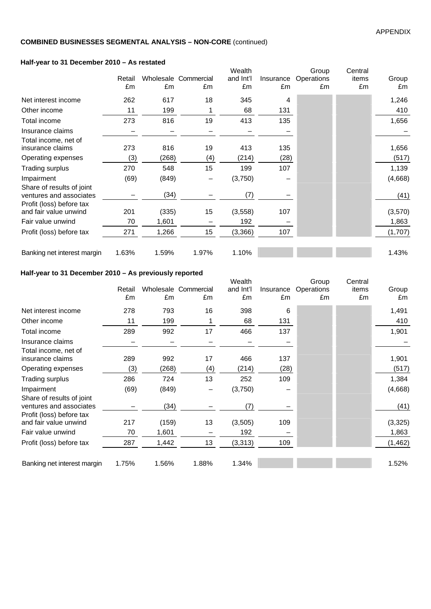### **Half-year to 31 December 2010 – As restated**

| $\frac{1}{2}$ and $\frac{1}{2}$ and $\frac{1}{2}$ becompled zo to $\frac{1}{2}$ as restated |              |       |                            | Wealth          |                 |                           |                        |             |
|---------------------------------------------------------------------------------------------|--------------|-------|----------------------------|-----------------|-----------------|---------------------------|------------------------|-------------|
|                                                                                             | Retail<br>£m | £m    | Wholesale Commercial<br>£m | and Int'l<br>£m | Insurance<br>£m | Group<br>Operations<br>£m | Central<br>items<br>£m | Group<br>£m |
| Net interest income                                                                         | 262          | 617   | 18                         | 345             | 4               |                           |                        | 1,246       |
| Other income                                                                                | 11           | 199   | 1                          | 68              | 131             |                           |                        | 410         |
| Total income                                                                                | 273          | 816   | 19                         | 413             | 135             |                           |                        | 1,656       |
| Insurance claims                                                                            |              |       |                            |                 |                 |                           |                        |             |
| Total income, net of<br>insurance claims                                                    | 273          | 816   | 19                         | 413             | 135             |                           |                        | 1,656       |
| Operating expenses                                                                          | (3)          | (268) | (4)                        | (214)           | (28)            |                           |                        | (517)       |
| <b>Trading surplus</b>                                                                      | 270          | 548   | 15                         | 199             | 107             |                           |                        | 1,139       |
| Impairment                                                                                  | (69)         | (849) |                            | (3,750)         |                 |                           |                        | (4,668)     |
| Share of results of joint<br>ventures and associates<br>Profit (loss) before tax            |              | (34)  |                            | (7)             |                 |                           |                        | (41)        |
| and fair value unwind                                                                       | 201          | (335) | 15                         | (3,558)         | 107             |                           |                        | (3,570)     |
| Fair value unwind                                                                           | 70           | 1,601 |                            | 192             |                 |                           |                        | 1,863       |
| Profit (loss) before tax                                                                    | 271          | 1,266 | 15                         | (3,366)         | 107             |                           |                        | (1,707)     |
| Banking net interest margin                                                                 | 1.63%        | 1.59% | 1.97%                      | 1.10%           |                 |                           |                        | 1.43%       |

### **Half-year to 31 December 2010 – As previously reported**

|                                                                                  | Retail<br>£m | £m    | Wholesale Commercial<br>£m | Wealth<br>and Int'l<br>£m | Insurance<br>£m | Group<br>Operations<br>£m | Central<br>items<br>£m | Group<br>£m |
|----------------------------------------------------------------------------------|--------------|-------|----------------------------|---------------------------|-----------------|---------------------------|------------------------|-------------|
| Net interest income                                                              | 278          | 793   | 16                         | 398                       | 6               |                           |                        | 1,491       |
| Other income                                                                     | 11           | 199   |                            | 68                        | 131             |                           |                        | 410         |
| Total income                                                                     | 289          | 992   | 17                         | 466                       | 137             |                           |                        | 1,901       |
| Insurance claims                                                                 |              |       |                            |                           |                 |                           |                        |             |
| Total income, net of<br>insurance claims                                         | 289          | 992   | 17                         | 466                       | 137             |                           |                        | 1,901       |
| Operating expenses                                                               | (3)          | (268) | (4)                        | (214)                     | (28)            |                           |                        | (517)       |
| Trading surplus                                                                  | 286          | 724   | 13                         | 252                       | 109             |                           |                        | 1,384       |
| Impairment                                                                       | (69)         | (849) |                            | (3,750)                   |                 |                           |                        | (4,668)     |
| Share of results of joint<br>ventures and associates<br>Profit (loss) before tax |              | (34)  |                            | (7)                       |                 |                           |                        | (41)        |
| and fair value unwind                                                            | 217          | (159) | 13                         | (3,505)                   | 109             |                           |                        | (3, 325)    |
| Fair value unwind                                                                | 70           | 1,601 |                            | 192                       |                 |                           |                        | 1,863       |
| Profit (loss) before tax                                                         | 287          | 1,442 | 13                         | (3, 313)                  | 109             |                           |                        | (1, 462)    |
| Banking net interest margin                                                      | 1.75%        | 1.56% | 1.88%                      | 1.34%                     |                 |                           |                        | 1.52%       |